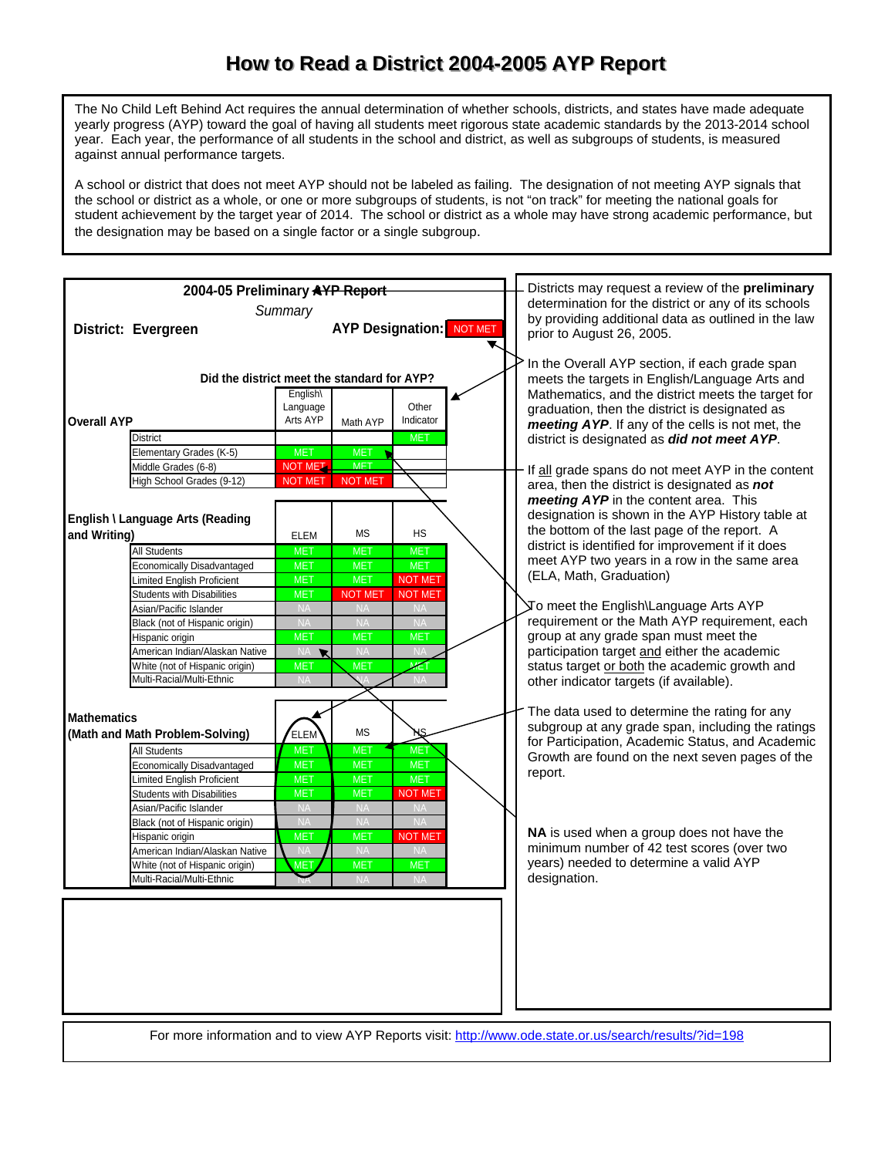## How to Read a District 2004-2005 AYP Report

The No Child Left Behind Act requires the annual determination of whether schools, districts, and states have made adequate yearly progress (AYP) toward the goal of having all students meet rigorous state academic standards by the 2013-2014 school year. Each year, the performance of all students in the school and district, as well as subgroups of students, is measured against annual performance targets.

A school or district that does not meet AYP should not be labeled as failing. The designation of not meeting AYP signals that the school or district as a whole, or one or more subgroups of students, is not "on track" for meeting the national goals for student achievement by the target year of 2014. The school or district as a whole may have strong academic performance, but the designation may be based on a single factor or a single subgroup.

|                                                       | 2004-05 Preliminary AYP Report                                                                                                                                               |                                                                                                                   |                                                                              | Districts may request a review of the preliminary<br>determination for the district or any of its schools |  |                                                                                                                                                        |                                                                                                                                                                                                                                                              |
|-------------------------------------------------------|------------------------------------------------------------------------------------------------------------------------------------------------------------------------------|-------------------------------------------------------------------------------------------------------------------|------------------------------------------------------------------------------|-----------------------------------------------------------------------------------------------------------|--|--------------------------------------------------------------------------------------------------------------------------------------------------------|--------------------------------------------------------------------------------------------------------------------------------------------------------------------------------------------------------------------------------------------------------------|
|                                                       | District: Evergreen                                                                                                                                                          | Summary                                                                                                           |                                                                              | <b>AYP Designation: NOT MET</b>                                                                           |  |                                                                                                                                                        | by providing additional data as outlined in the law<br>prior to August 26, 2005.                                                                                                                                                                             |
| <b>Overall AYP</b>                                    |                                                                                                                                                                              | Did the district meet the standard for AYP?<br>English\<br>Language<br>Other<br>Arts AYP<br>Indicator<br>Math AYP |                                                                              |                                                                                                           |  |                                                                                                                                                        | In the Overall AYP section, if each grade span<br>meets the targets in English/Language Arts and<br>Mathematics, and the district meets the target for<br>graduation, then the district is designated as<br>meeting AYP. If any of the cells is not met, the |
|                                                       | <b>District</b><br>Elementary Grades (K-5)<br>Middle Grades (6-8)                                                                                                            | <b>MET</b><br><b>NOT MET.</b>                                                                                     | <b>MET</b><br><b>MET</b>                                                     | <b>MET</b>                                                                                                |  |                                                                                                                                                        | district is designated as did not meet AYP.<br>If all grade spans do not meet AYP in the content                                                                                                                                                             |
|                                                       | High School Grades (9-12)<br>English \ Language Arts (Reading                                                                                                                | <b>NOT MET</b>                                                                                                    | <b>NOT MET</b>                                                               |                                                                                                           |  |                                                                                                                                                        | area, then the district is designated as not<br>meeting AYP in the content area. This<br>designation is shown in the AYP History table at                                                                                                                    |
| and Writing)                                          | All Students<br><b>Economically Disadvantaged</b><br>Limited English Proficient                                                                                              | <b>ELEM</b><br><b>MET</b><br><b>MET</b><br><b>MET</b>                                                             | <b>MS</b><br><b>MET</b><br><b>MET</b><br><b>MET</b>                          | <b>HS</b><br>MET.<br><b>MET</b><br><b>NOT MET</b>                                                         |  |                                                                                                                                                        | the bottom of the last page of the report. A<br>district is identified for improvement if it does<br>meet AYP two years in a row in the same area<br>(ELA, Math, Graduation)                                                                                 |
|                                                       | <b>Students with Disabilities</b><br>Asian/Pacific Islander<br>Black (not of Hispanic origin)                                                                                | <b>MET</b><br><b>NA</b><br><b>NA</b>                                                                              | <b>NOT MET</b><br><b>NA</b><br><b>NA</b>                                     | <b>NOT MET</b><br><b>NA</b><br><b>NA</b>                                                                  |  |                                                                                                                                                        | To meet the English\Language Arts AYP<br>requirement or the Math AYP requirement, each                                                                                                                                                                       |
|                                                       | Hispanic origin<br>American Indian/Alaskan Native<br>White (not of Hispanic origin)<br>Multi-Racial/Multi-Ethnic                                                             | <b>MET</b><br>NA R<br><b>MET</b><br><b>NA</b>                                                                     | <b>MET</b><br><b>NA</b><br><b>MET</b>                                        | <b>MET</b><br><b>NA</b><br>MET<br><b>NA</b>                                                               |  |                                                                                                                                                        | group at any grade span must meet the<br>participation target and either the academic<br>status target or both the academic growth and<br>other indicator targets (if available).                                                                            |
| <b>Mathematics</b><br>(Math and Math Problem-Solving) | <b>ELEM</b>                                                                                                                                                                  | <b>MS</b>                                                                                                         |                                                                              |                                                                                                           |  | The data used to determine the rating for any<br>subgroup at any grade span, including the ratings<br>for Participation, Academic Status, and Academic |                                                                                                                                                                                                                                                              |
|                                                       | All Students<br><b>Economically Disadvantaged</b><br><b>Limited English Proficient</b><br><b>Students with Disabilities</b>                                                  | <b>MET</b><br><b>MET</b><br><b>MET</b><br><b>MET</b>                                                              | <b>MET</b><br><b>MET</b><br><b>MET</b><br><b>MET</b>                         | <b>MET</b><br><b>MET</b><br><b>MET</b><br><b>NOT MET</b>                                                  |  |                                                                                                                                                        | Growth are found on the next seven pages of the<br>report.                                                                                                                                                                                                   |
|                                                       | Asian/Pacific Islander<br>Black (not of Hispanic origin)<br>Hispanic origin<br>American Indian/Alaskan Native<br>White (not of Hispanic origin)<br>Multi-Racial/Multi-Ethnic | <b>NA</b><br><b>NA</b><br><b>MET</b><br><b>NA</b><br><b>MET</b>                                                   | <b>NA</b><br><b>NA</b><br><b>MET</b><br><b>NA</b><br><b>MET</b><br><b>NA</b> | <b>NA</b><br><b>NA</b><br><b>NOT MET</b><br><b>NA</b><br><b>MET</b><br><b>NA</b>                          |  |                                                                                                                                                        | NA is used when a group does not have the<br>minimum number of 42 test scores (over two<br>years) needed to determine a valid AYP<br>designation.                                                                                                            |
|                                                       |                                                                                                                                                                              |                                                                                                                   |                                                                              |                                                                                                           |  |                                                                                                                                                        |                                                                                                                                                                                                                                                              |
|                                                       |                                                                                                                                                                              |                                                                                                                   |                                                                              |                                                                                                           |  |                                                                                                                                                        |                                                                                                                                                                                                                                                              |

For more information and to view AYP Reports visit: <http://www.ode.state.or.us/search/results/?id=198>